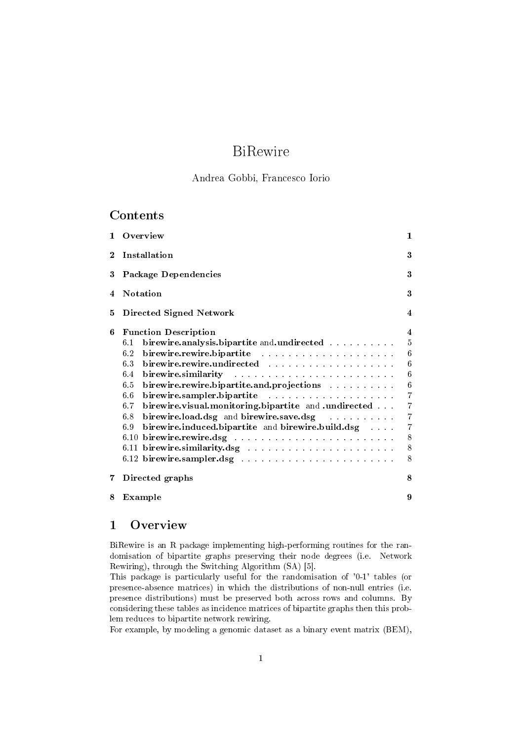# BiRewire

### Andrea Gobbi, Francesco Iorio

### Contents

| $\mathbf{1}$ | Overview                                                                                                                                                                                                                                                     | $\mathbf{1}$        |
|--------------|--------------------------------------------------------------------------------------------------------------------------------------------------------------------------------------------------------------------------------------------------------------|---------------------|
| $\bf{2}$     | Installation                                                                                                                                                                                                                                                 | 3                   |
| 3            | Package Dependencies                                                                                                                                                                                                                                         | 3                   |
| 4            | <b>Notation</b>                                                                                                                                                                                                                                              | 3                   |
| 5            | Directed Signed Network                                                                                                                                                                                                                                      | $\overline{\bf{4}}$ |
| 6            | <b>Function Description</b>                                                                                                                                                                                                                                  | $\overline{\bf{4}}$ |
|              | birewire.analysis.bipartite and.undirected<br>6.1                                                                                                                                                                                                            | $5\,$               |
|              | birewire.rewire.bipartite<br>6.2                                                                                                                                                                                                                             | 6                   |
|              | birewire.rewire.undirected<br>6.3                                                                                                                                                                                                                            | 6                   |
|              | birewire.similarity<br>and the contract of the contract of the contract of the contract of the contract of the contract of the contract of the contract of the contract of the contract of the contract of the contract of the contract of the contra<br>6.4 | 6                   |
|              | birewire.rewire.bipartite.and.projections<br>6.5                                                                                                                                                                                                             | 6                   |
|              | birewire.sampler.bipartite contracts and contracts and contracts<br>6.6                                                                                                                                                                                      | $\overline{7}$      |
|              | birewire.visual.monitoring.bipartite and .undirected<br>6.7                                                                                                                                                                                                  | $\overline{7}$      |
|              | birewire.load.dsg and birewire.save.dsg<br>6.8                                                                                                                                                                                                               | $\overline{7}$      |
|              | birewire.induced.bipartite and birewire.build.dsg<br>6.9                                                                                                                                                                                                     | $\overline{7}$      |
|              | 6.10                                                                                                                                                                                                                                                         | 8                   |
|              |                                                                                                                                                                                                                                                              | 8                   |
|              |                                                                                                                                                                                                                                                              | 8                   |
| 7.           | Directed graphs                                                                                                                                                                                                                                              | 8                   |
| 8            | Example                                                                                                                                                                                                                                                      | 9                   |

# 1 Overview

BiRewire is an R package implementing high-performing routines for the randomisation of bipartite graphs preserving their node degrees (i.e. Network Rewiring), through the Switching Algorithm (SA) [5].

This package is particularly useful for the randomisation of '0-1' tables (or presence-absence matrices) in which the distributions of non-null entries (i.e. presence distributions) must be preserved both across rows and columns. By considering these tables as incidence matrices of bipartite graphs then this problem reduces to bipartite network rewiring.

For example, by modeling a genomic dataset as a binary event matrix (BEM),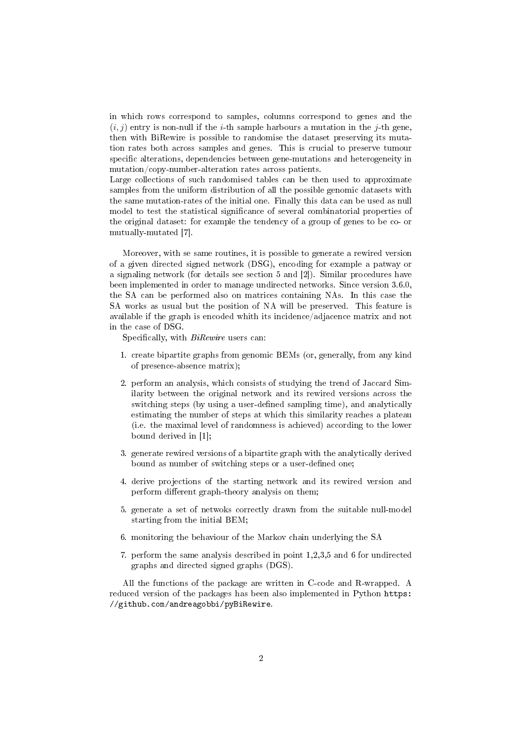in which rows correspond to samples, columns correspond to genes and the  $(i, j)$  entry is non-null if the *i*-th sample harbours a mutation in the *j*-th gene, then with BiRewire is possible to randomise the dataset preserving its mutation rates both across samples and genes. This is crucial to preserve tumour specific alterations, dependencies between gene-mutations and heterogeneity in mutation/copy-number-alteration rates across patients.

Large collections of such randomised tables can be then used to approximate samples from the uniform distribution of all the possible genomic datasets with the same mutation-rates of the initial one. Finally this data can be used as null model to test the statistical significance of several combinatorial properties of the original dataset: for example the tendency of a group of genes to be co- or mutually-mutated [7].

Moreover, with se same routines, it is possible to generate a rewired version of a given directed signed network (DSG), encoding for example a patway or a signaling network (for details see section 5 and [2]). Similar procedures have been implemented in order to manage undirected networks. Since version 3.6.0, the SA can be performed also on matrices containing NAs. In this case the SA works as usual but the position of NA will be preserved. This feature is available if the graph is encoded whith its incidence/adjacence matrix and not in the case of DSG.

Specifically, with *BiRewire* users can:

- 1. create bipartite graphs from genomic BEMs (or, generally, from any kind of presence-absence matrix);
- 2. perform an analysis, which consists of studying the trend of Jaccard Similarity between the original network and its rewired versions across the switching steps (by using a user-defined sampling time), and analytically estimating the number of steps at which this similarity reaches a plateau (i.e. the maximal level of randomness is achieved) according to the lower bound derived in [1];
- 3. generate rewired versions of a bipartite graph with the analytically derived bound as number of switching steps or a user-defined one;
- 4. derive projections of the starting network and its rewired version and perform different graph-theory analysis on them;
- 5. generate a set of netwoks correctly drawn from the suitable null-model starting from the initial BEM;
- 6. monitoring the behaviour of the Markov chain underlying the SA
- 7. perform the same analysis described in point 1,2,3,5 and 6 for undirected graphs and directed signed graphs (DGS).

All the functions of the package are written in C-code and R-wrapped. A reduced version of the packages has been also implemented in Python https: //github.com/andreagobbi/pyBiRewire.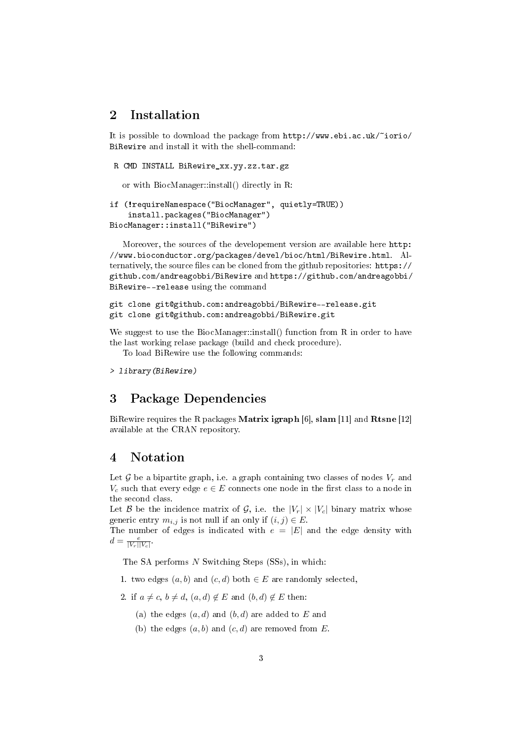# 2 Installation

It is possible to download the package from http://www.ebi.ac.uk/~iorio/ BiRewire and install it with the shell-command:

```
R CMD INSTALL BiRewire_xx.yy.zz.tar.gz
```
or with BiocManager::install() directly in R:

```
if (!requireNamespace("BiocManager", quietly=TRUE))
    install.packages("BiocManager")
BiocManager::install("BiRewire")
```
Moreover, the sources of the developement version are available here http: //www.bioconductor.org/packages/devel/bioc/html/BiRewire.html. Alternatively, the source files can be cloned from the github repositories: https:// github.com/andreagobbi/BiRewire and https://github.com/andreagobbi/ BiRewire--release using the command

```
git clone git@github.com:andreagobbi/BiRewire--release.git
git clone git@github.com:andreagobbi/BiRewire.git
```
We suggest to use the BiocManager::install() function from R in order to have the last working relase package (build and check procedure).

To load BiRewire use the following commands:

```
> library(BiRewire)
```
# 3 Package Dependencies

BiRewire requires the R packages Matrix igraph [6], slam [11] and Rtsne [12] available at the CRAN repository.

# 4 Notation

Let  $\mathcal G$  be a bipartite graph, i.e. a graph containing two classes of nodes  $V_r$  and  $V_c$  such that every edge  $e \in E$  connects one node in the first class to a node in the second class.

Let B be the incidence matrix of G, i.e. the  $|V_r| \times |V_c|$  binary matrix whose generic entry  $m_{i,j}$  is not null if an only if  $(i, j) \in E$ .

The number of edges is indicated with  $e = |E|$  and the edge density with  $d = \frac{e}{|V_r||V_c|}.$ 

The SA performs  $N$  Switching Steps (SSs), in which:

- 1. two edges  $(a, b)$  and  $(c, d)$  both  $\in E$  are randomly selected,
- 2. if  $a \neq c$ ,  $b \neq d$ ,  $(a,d) \notin E$  and  $(b,d) \notin E$  then:
	- (a) the edges  $(a, d)$  and  $(b, d)$  are added to E and
	- (b) the edges  $(a, b)$  and  $(c, d)$  are removed from E.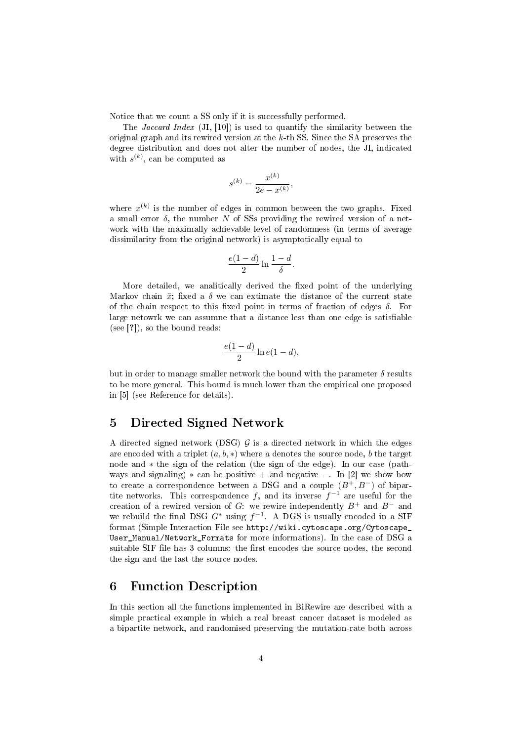Notice that we count a SS only if it is successfully performed.

The Jaccard Index (JI, [10]) is used to quantify the similarity between the original graph and its rewired version at the  $k$ -th SS. Since the SA preserves the degree distribution and does not alter the number of nodes, the JI, indicated with  $s^{(k)}$ , can be computed as

$$
s^{(k)} = \frac{x^{(k)}}{2e - x^{(k)}}
$$

,

where  $x^{(k)}$  is the number of edges in common between the two graphs. Fixed a small error  $\delta$ , the number N of SSs providing the rewired version of a network with the maximally achievable level of randomness (in terms of average dissimilarity from the original network) is asymptotically equal to

$$
\frac{e(1-d)}{2}\ln\frac{1-d}{\delta}.
$$

More detailed, we analitically derived the fixed point of the underlying Markov chain  $\bar{x}$ ; fixed a  $\delta$  we can extimate the distance of the current state of the chain respect to this fixed point in terms of fraction of edges  $\delta$ . For large netowrk we can assumne that a distance less than one edge is satisfiable (see [?]), so the bound reads:

$$
\frac{e(1-d)}{2}\ln e(1-d),
$$

but in order to manage smaller network the bound with the parameter  $\delta$  results to be more general. This bound is much lower than the empirical one proposed in [5] (see Reference for details).

## 5 Directed Signed Network

A directed signed network (DSG)  $\mathcal G$  is a directed network in which the edges are encoded with a triplet  $(a, b, *)$  where a denotes the source node, b the target node and ∗ the sign of the relation (the sign of the edge). In our case (pathways and signaling)  $*$  can be positive + and negative −. In [2] we show how to create a correspondence between a DSG and a couple  $(B^+, B^-)$  of bipartite networks. This correspondence f, and its inverse  $f^{-1}$  are useful for the creation of a rewired version of G: we rewire independently  $B^+$  and  $B^-$  and we rebuild the final DSG  $G^*$  using  $f^{-1}$ . A DGS is usually encoded in a SIF format (Simple Interaction File see http://wiki.cytoscape.org/Cytoscape\_ User\_Manual/Network\_Formats for more informations). In the case of DSG a suitable SIF file has 3 columns: the first encodes the source nodes, the second the sign and the last the source nodes.

# 6 Function Description

In this section all the functions implemented in BiRewire are described with a simple practical example in which a real breast cancer dataset is modeled as a bipartite network, and randomised preserving the mutation-rate both across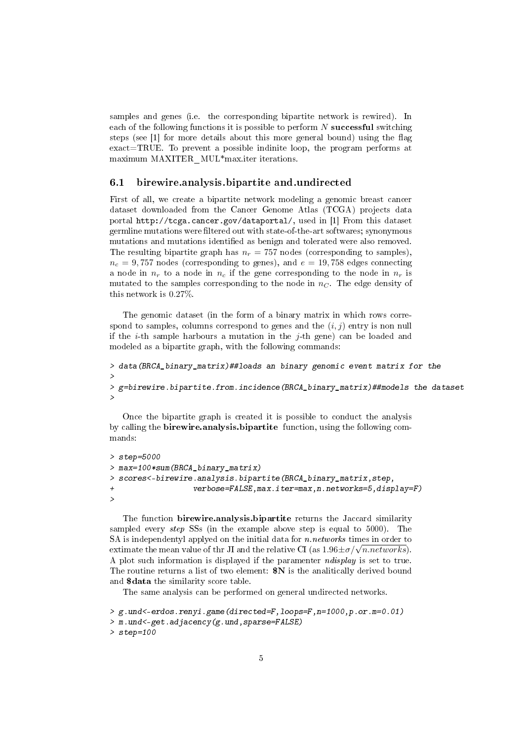samples and genes (i.e. the corresponding bipartite network is rewired). In each of the following functions it is possible to perform  $N$  successful switching steps (see  $[1]$  for more details about this more general bound) using the flag exact=TRUE. To prevent a possible indinite loop, the program performs at maximum MAXITER\_MUL\*max.iter iterations.

#### 6.1 birewire.analysis.bipartite and.undirected

First of all, we create a bipartite network modeling a genomic breast cancer dataset downloaded from the Cancer Genome Atlas (TCGA) projects data portal http://tcga.cancer.gov/dataportal/, used in [1] From this dataset germline mutations were filtered out with state-of-the-art softwares; synonymous mutations and mutations identified as benign and tolerated were also removed. The resulting bipartite graph has  $n_r = 757$  nodes (corresponding to samples),  $n_c = 9,757$  nodes (corresponding to genes), and  $e = 19,758$  edges connecting a node in  $n_r$  to a node in  $n_c$  if the gene corresponding to the node in  $n_r$  is mutated to the samples corresponding to the node in  $n<sub>C</sub>$ . The edge density of this network is 0.27%.

The genomic dataset (in the form of a binary matrix in which rows correspond to samples, columns correspond to genes and the  $(i, j)$  entry is non null if the *i*-th sample harbours a mutation in the *j*-th gene) can be loaded and modeled as a bipartite graph, with the following commands:

```
> data(BRCA_binary_matrix)##loads an binary genomic event matrix for the
> ##breast cancer dataset
> g=birewire.bipartite.from.incidence(BRCA_binary_matrix)##models the dataset
> ## as igraph bipartite graph
```
Once the bipartite graph is created it is possible to conduct the analysis by calling the birewire.analysis.bipartite function, using the following commands:

```
> step=5000
> max=100*sum(BRCA_binary_matrix)
> scores<-birewire.analysis.bipartite(BRCA_binary_matrix,step,
                  verbose=FALSE, max.iter=max,n.networks=5, display=pi/>
```
The function birewire.analysis.bipartite returns the Jaccard similarity sampled every step SSs (in the example above step is equal to 5000). The SA is independentyl applyed on the initial data for  $n.net works$  times in order to SA is independentyl applyed on the initial data for *n.networks* times in order to extimate the mean value of thr JI and the relative CI (as  $1.96 \pm \sigma/\sqrt{n}.$ networks). A plot such information is displayed if the paramenter ndisplay is set to true. The routine returns a list of two element:  $N$  is the analitically derived bound and \$data the similarity score table.

The same analysis can be performed on general undirected networks.

```
> g.und<-erdos.renyi.game(directed=F,loops=F,n=1000,p.or.m=0.01)
> m.und<-get.adjacency(g.und,sparse=FALSE)
> step=100
```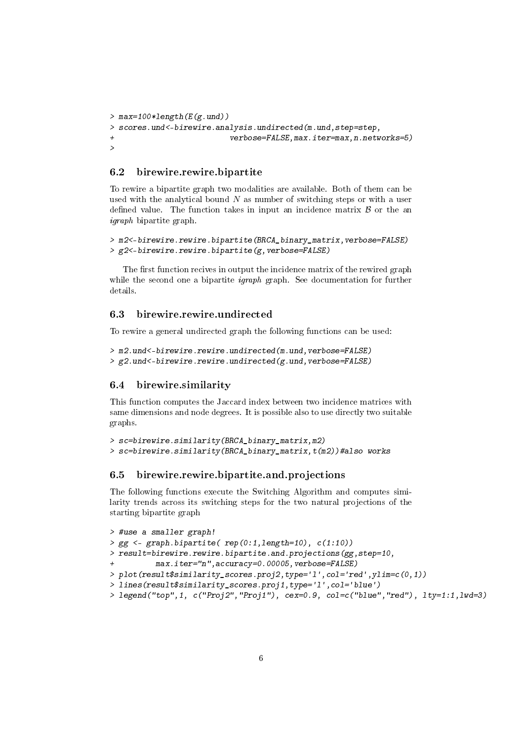```
> max=100*length(E(g.und))
> scores.und<-birewire.analysis.undirected(m.und,step=step,
+ verbose=FALSE,max.iter=max,n.networks=5)
>
```
#### 6.2 birewire.rewire.bipartite

To rewire a bipartite graph two modalities are available. Both of them can be used with the analytical bound  $N$  as number of switching steps or with a user defined value. The function takes in input an incidence matrix  $\beta$  or the an igraph bipartite graph.

```
> m2<-birewire.rewire.bipartite(BRCA_binary_matrix,verbose=FALSE)
> g2 <-birewire.rewire.bipartite(g, verbose=FALSE)
```
The first function recives in output the incidence matrix of the rewired graph while the second one a bipartite *igraph* graph. See documentation for further details.

### 6.3 birewire.rewire.undirected

To rewire a general undirected graph the following functions can be used:

```
> m2.und<-birewire.rewire.undirected(m.und, verbose=FALSE)
> g2.und <- birewire.rewire.undirected(g.und, verbose=FALSE)
```
#### 6.4 birewire.similarity

This function computes the Jaccard index between two incidence matrices with same dimensions and node degrees. It is possible also to use directly two suitable graphs.

```
> sc=birewire.similarity(BRCA_binary_matrix,m2)
> sc=birewire.similarity(BRCA_binary_matrix,t(m2))#also works
```
#### 6.5 birewire.rewire.bipartite.and.projections

The following functions execute the Switching Algorithm and computes similarity trends across its switching steps for the two natural projections of the starting bipartite graph

```
> #use a smaller graph!
> gg \leftarrow graph.\nbipartite(\nrep(0:1, length=10),\nc(1:10))> result=birewire.rewire.bipartite.and.projections(gg,step=10,
          max.iter="n", accuracy=0.00005, verbose=FALSE)
> plot(result$similarity_scores.proj2,type='l',col='red',ylim=c(0,1))
> lines(result$similarity_scores.proj1,type='l',col='blue')
> legend("top",1, c("Proj2","Proj1"), cex=0.9, col=c("blue","red"), lty=1:1,lwd=3)
```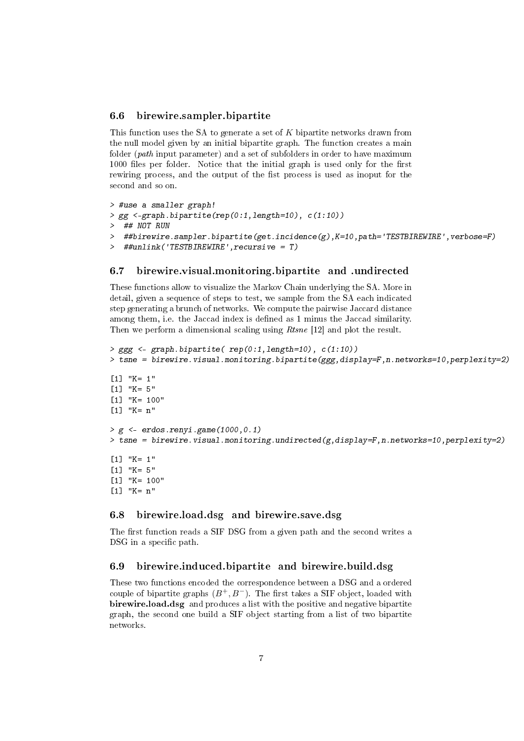#### 6.6 birewire.sampler.bipartite

This function uses the SA to generate a set of K bipartite networks drawn from the null model given by an initial bipartite graph. The function creates a main folder (path input parameter) and a set of subfolders in order to have maximum 1000 files per folder. Notice that the initial graph is used only for the first rewiring process, and the output of the fist process is used as inoput for the second and so on.

```
> #use a smaller graph!
> gg <-graph.bipartite(rep(0:1,length=10), c(1:10))
> ## NOT RUN
> ##birewire.sampler.bipartite(get.incidence(g),K=10,path='TESTBIREWIRE',verbose=F)
> ##unlink('TESTBIREWIRE',recursive = T)
```
#### 6.7 birewire.visual.monitoring.bipartite and .undirected

These functions allow to visualize the Markov Chain underlying the SA. More in detail, given a sequence of steps to test, we sample from the SA each indicated step generating a brunch of networks. We compute the pairwise Jaccard distance among them, i.e. the Jaccad index is defined as 1 minus the Jaccad similarity. Then we perform a dimensional scaling using *Rtsne* [12] and plot the result.

```
> ggg <- graph.bipartite( rep(0:1,length=10), c(1:10))
> tsne = birewire.visual.monitoring.bipartite(ggg,display=F,n.networks=10,perplexity=2)
[1] "K= 1"
[1] "K= 5"
[1] "K= 100"
[1] "K= n"
> g <- erdos.renvi.game(1000.0.1)
> tsne = birewire.visual.monitoring.undirected(g,display=F,n.networks=10,perplexity=2)
[1] "K= 1"
[1] "K= 5"
[1] "K= 100"
[1] "K= n"
```
### 6.8 birewire.load.dsg and birewire.save.dsg

The first function reads a SIF DSG from a given path and the second writes a DSG in a specific path.

#### 6.9 birewire.induced.bipartite and birewire.build.dsg

These two functions encoded the correspondence between a DSG and a ordered couple of bipartite graphs  $(B^+, B^-)$ . The first takes a SIF object, loaded with birewire.load.dsg and produces a list with the positive and negative bipartite graph, the second one build a SIF object starting from a list of two bipartite networks.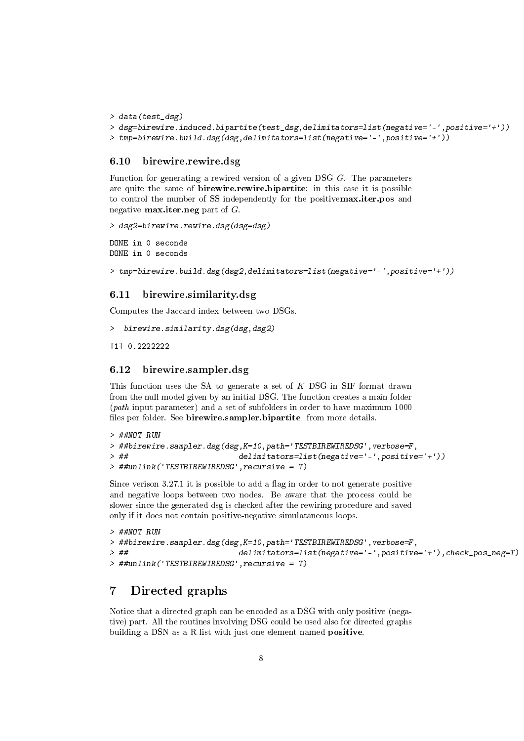```
> data(test_dsg)
```

```
> dsg=birewire.induced.bipartite(test_dsg,delimitators=list(negative='-',positive='+'))
> tmp=birewire.build.dsg(dsg,delimitators=list(negative='-',positive='+'))
```
#### 6.10 birewire.rewire.dsg

Function for generating a rewired version of a given DSG G. The parameters are quite the same of **birewire.rewire.bipartite**: in this case it is possible to control the number of SS independently for the positivemax.iter.pos and negative **max.iter.neg** part of  $G$ .

```
> dsg2=birewire.rewire.dsg(dsg=dsg)
```
DONE in 0 seconds DONE in 0 seconds

```
> tmp=birewire.build.dsg(dsg2,delimitators=list(negative='-',positive='+'))
```
### 6.11 birewire.similarity.dsg

Computes the Jaccard index between two DSGs.

```
> birewire.similarity.dsg(dsg,dsg2)
```

```
[1] 0.2222222
```
### 6.12 birewire.sampler.dsg

This function uses the SA to generate a set of K DSG in SIF format drawn from the null model given by an initial DSG. The function creates a main folder (path input parameter) and a set of subfolders in order to have maximum 1000 files per folder. See birewire.sampler.bipartite from more details.

```
> ##NOT RUN
> ##birewire.sampler.dsg(dsg,K=10,path='TESTBIREWIREDSG',verbose=F,
> ## delimitators=list(negative='-',positive='+'))
> ##unlink('TESTBIREWIREDSG',recursive = T)
```
Since verison  $3.27.1$  it is possible to add a flag in order to not generate positive and negative loops between two nodes. Be aware that the process could be slower since the generated dsg is checked after the rewiring procedure and saved only if it does not contain positive-negative simulataneous loops.

```
> ##NOT RUN
> ##birewire.sampler.dsg(dsg,K=10,path='TESTBIREWIREDSG',verbose=F,
> ## delimitators=list(negative='-',positive='+'),check_pos_neg=T)
> ##unlink('TESTBIREWIREDSG',recursive = T)
```
# 7 Directed graphs

Notice that a directed graph can be encoded as a DSG with only positive (negative) part. All the routines involving DSG could be used also for directed graphs building a DSN as a R list with just one element named **positive**.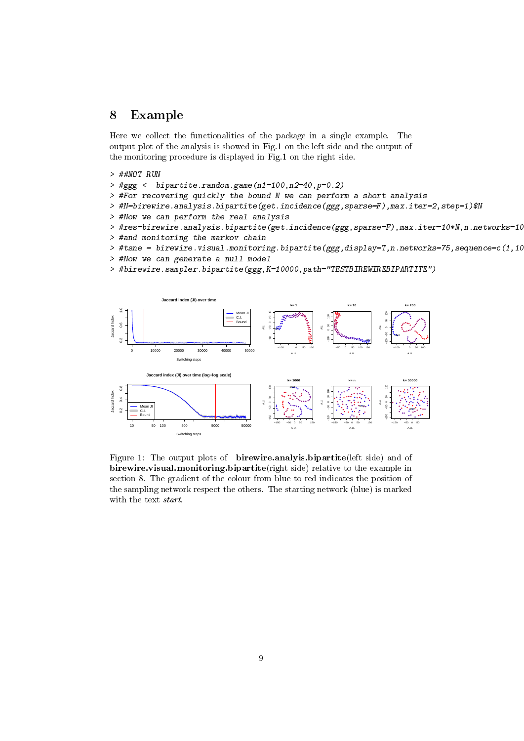### 8 Example

Here we collect the functionalities of the package in a single example. The output plot of the analysis is showed in Fig.1 on the left side and the output of the monitoring procedure is displayed in Fig.1 on the right side.

- > ##NOT RUN
- > #ggg <- bipartite.random.game(n1=100,n2=40,p=0.2)
- > #For recovering quickly the bound N we can perform a short analysis
- > #N=birewire.analysis.bipartite(get.incidence(ggg,sparse=F),max.iter=2,step=1)\$N
- > #Now we can perform the real analysis
- > #res=birewire.analysis.bipartite(get.incidence(ggg,sparse=F),max.iter=10\*N,n.networks=10)
- > #and monitoring the markov chain
- $\geq$  #tsne = birewire.visual.monitoring.bipartite(ggg,display=T,n.networks=75,sequence=c(1,100)
- > #Now we can generate a null model
- > #birewire.sampler.bipartite(ggg,K=10000,path="TESTBIREWIREBIPARTITE")



Figure 1: The output plots of birewire.analyis.bipartite(left side) and of birewire.visual.monitoring.bipartite(right side) relative to the example in section 8. The gradient of the colour from blue to red indicates the position of the sampling network respect the others. The starting network (blue) is marked with the text start.